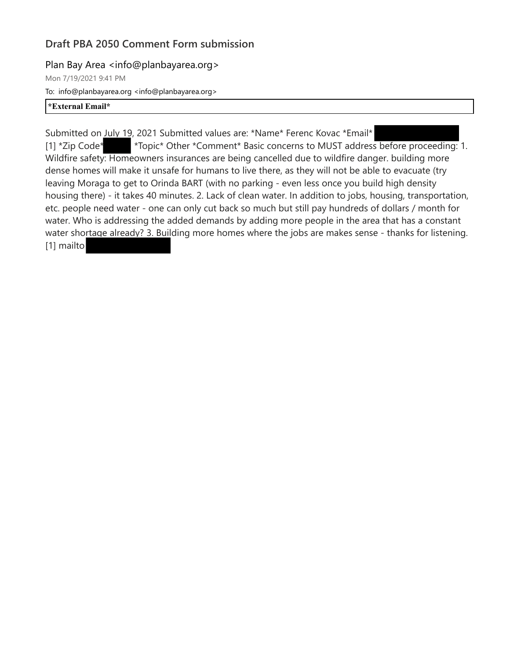## **Draft PBA 2050 Comment Form submission**

Plan Bay Area <info@planbayarea.org>

Mon 7/19/2021 9:41 PM To: info@planbayarea.org <info@planbayarea.org>

## **\*External Email\***

Submitted on July 19, 2021 Submitted values are: \*Name\* Ferenc Kovac \*Email\* [1] \*Zip Code\* \* Topic\* Other \*Comment\* Basic concerns to MUST address before proceeding: 1. Wildfire safety: Homeowners insurances are being cancelled due to wildfire danger. building more dense homes will make it unsafe for humans to live there, as they will not be able to evacuate (try leaving Moraga to get to Orinda BART (with no parking - even less once you build high density housing there) - it takes 40 minutes. 2. Lack of clean water. In addition to jobs, housing, transportation, etc. people need water - one can only cut back so much but still pay hundreds of dollars / month for water. Who is addressing the added demands by adding more people in the area that has a constant water shortage already? 3. Building more homes where the jobs are makes sense - thanks for listening. [1] mailto